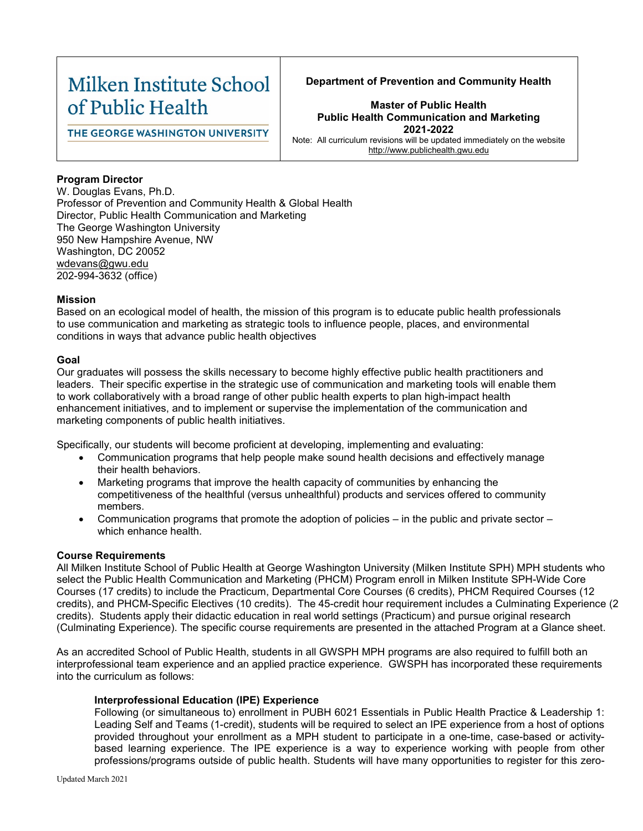# Milken Institute School of Public Health

# **Department of Prevention and Community Health**

THE GEORGE WASHINGTON UNIVERSITY

# **Master of Public Health Public Health Communication and Marketing 2021-2022**

Note: All curriculum revisions will be updated immediately on the website [http://www.publichealth.gwu.edu](http://www.publichealth.gwu.edu/)

### **Program Director**

W. Douglas Evans, Ph.D. Professor of Prevention and Community Health & Global Health Director, Public Health Communication and Marketing The George Washington University 950 New Hampshire Avenue, NW Washington, DC 20052 wdevans@gwu.edu 202-994-3632 (office)

#### **Mission**

Based on an ecological model of health, the mission of this program is to educate public health professionals to use communication and marketing as strategic tools to influence people, places, and environmental conditions in ways that advance public health objectives

#### **Goal**

Our graduates will possess the skills necessary to become highly effective public health practitioners and leaders. Their specific expertise in the strategic use of communication and marketing tools will enable them to work collaboratively with a broad range of other public health experts to plan high-impact health enhancement initiatives, and to implement or supervise the implementation of the communication and marketing components of public health initiatives.

Specifically, our students will become proficient at developing, implementing and evaluating:

- Communication programs that help people make sound health decisions and effectively manage their health behaviors.
- Marketing programs that improve the health capacity of communities by enhancing the competitiveness of the healthful (versus unhealthful) products and services offered to community members.
- Communication programs that promote the adoption of policies in the public and private sector which enhance health.

#### **Course Requirements**

All Milken Institute School of Public Health at George Washington University (Milken Institute SPH) MPH students who select the Public Health Communication and Marketing (PHCM) Program enroll in Milken Institute SPH-Wide Core Courses (17 credits) to include the Practicum, Departmental Core Courses (6 credits), PHCM Required Courses (12 credits), and PHCM-Specific Electives (10 credits). The 45-credit hour requirement includes a Culminating Experience (2 credits). Students apply their didactic education in real world settings (Practicum) and pursue original research (Culminating Experience). The specific course requirements are presented in the attached Program at a Glance sheet.

As an accredited School of Public Health, students in all GWSPH MPH programs are also required to fulfill both an interprofessional team experience and an applied practice experience. GWSPH has incorporated these requirements into the curriculum as follows:

#### **Interprofessional Education (IPE) Experience**

Following (or simultaneous to) enrollment in PUBH 6021 Essentials in Public Health Practice & Leadership 1: Leading Self and Teams (1-credit), students will be required to select an IPE experience from a host of options provided throughout your enrollment as a MPH student to participate in a one-time, case-based or activitybased learning experience. The IPE experience is a way to experience working with people from other professions/programs outside of public health. Students will have many opportunities to register for this zero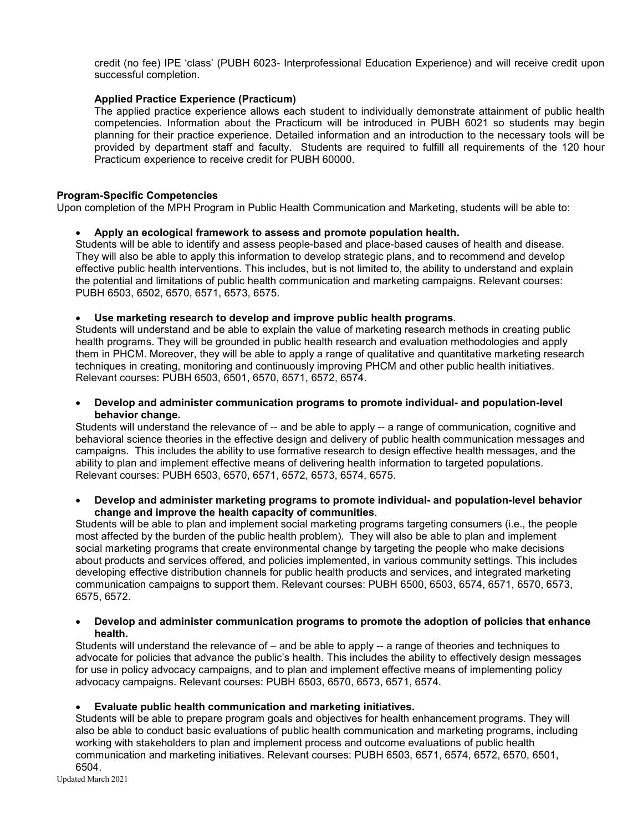credit (no fee) IPE 'class' (PUBH 6023- Interprofessional Education Experience) and will receive credit upon successful completion.

#### **Applied Practice Experience (Practicum)**

The applied practice experience allows each student to individually demonstrate attainment of public health competencies. Information about the Practicum will be introduced in PUBH 6021 so students may begin planning for their practice experience. Detailed information and an introduction to the necessary tools will be provided by department staff and faculty. Students are required to fulfill all requirements of the 120 hour Practicum experience to receive credit for PUBH 60000.

#### **Program-Specific Competencies**

Upon completion of the MPH Program in Public Health Communication and Marketing, students will be able to:

#### • **Apply an ecological framework to assess and promote population health.**

Students will be able to identify and assess people-based and place-based causes of health and disease. They will also be able to apply this information to develop strategic plans, and to recommend and develop effective public health interventions. This includes, but is not limited to, the ability to understand and explain the potential and limitations of public health communication and marketing campaigns. Relevant courses: PUBH 6503, 6502, 6570, 6571, 6573, 6575.

#### • **Use marketing research to develop and improve public health programs**.

Students will understand and be able to explain the value of marketing research methods in creating public health programs. They will be grounded in public health research and evaluation methodologies and apply them in PHCM. Moreover, they will be able to apply a range of qualitative and quantitative marketing research techniques in creating, monitoring and continuously improving PHCM and other public health initiatives. Relevant courses: PUBH 6503, 6501, 6570, 6571, 6572, 6574.

• **Develop and administer communication programs to promote individual- and population-level behavior change.**

Students will understand the relevance of -- and be able to apply -- a range of communication, cognitive and behavioral science theories in the effective design and delivery of public health communication messages and campaigns. This includes the ability to use formative research to design effective health messages, and the ability to plan and implement effective means of delivering health information to targeted populations. Relevant courses: PUBH 6503, 6570, 6571, 6572, 6573, 6574, 6575.

#### • **Develop and administer marketing programs to promote individual- and population-level behavior change and improve the health capacity of communities**.

Students will be able to plan and implement social marketing programs targeting consumers (i.e., the people most affected by the burden of the public health problem). They will also be able to plan and implement social marketing programs that create environmental change by targeting the people who make decisions about products and services offered, and policies implemented, in various community settings. This includes developing effective distribution channels for public health products and services, and integrated marketing communication campaigns to support them. Relevant courses: PUBH 6500, 6503, 6574, 6571, 6570, 6573, 6575, 6572.

#### • **Develop and administer communication programs to promote the adoption of policies that enhance health.**

Students will understand the relevance of – and be able to apply -- a range of theories and techniques to advocate for policies that advance the public's health. This includes the ability to effectively design messages for use in policy advocacy campaigns, and to plan and implement effective means of implementing policy advocacy campaigns. Relevant courses: PUBH 6503, 6570, 6573, 6571, 6574.

# • **Evaluate public health communication and marketing initiatives.**

Students will be able to prepare program goals and objectives for health enhancement programs. They will also be able to conduct basic evaluations of public health communication and marketing programs, including working with stakeholders to plan and implement process and outcome evaluations of public health communication and marketing initiatives. Relevant courses: PUBH 6503, 6571, 6574, 6572, 6570, 6501, 6504.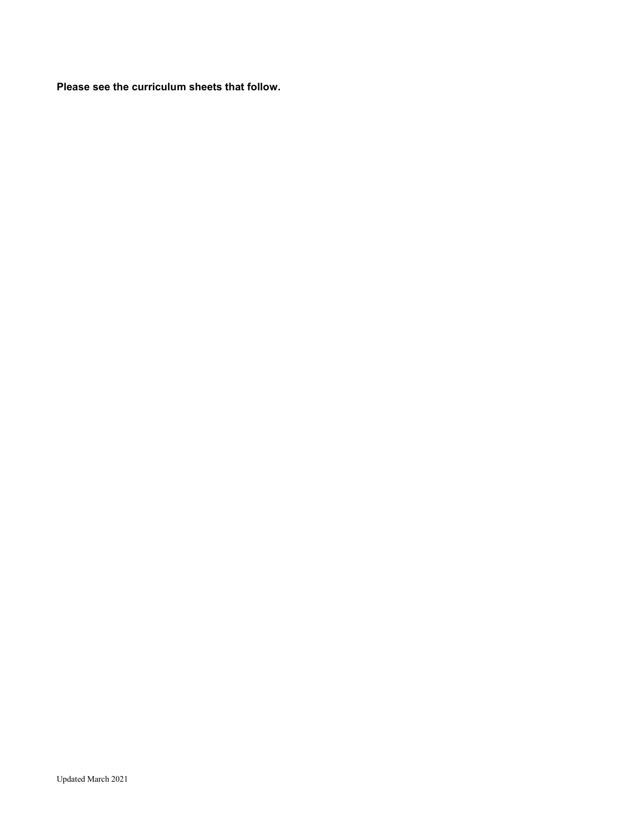**Please see the curriculum sheets that follow.**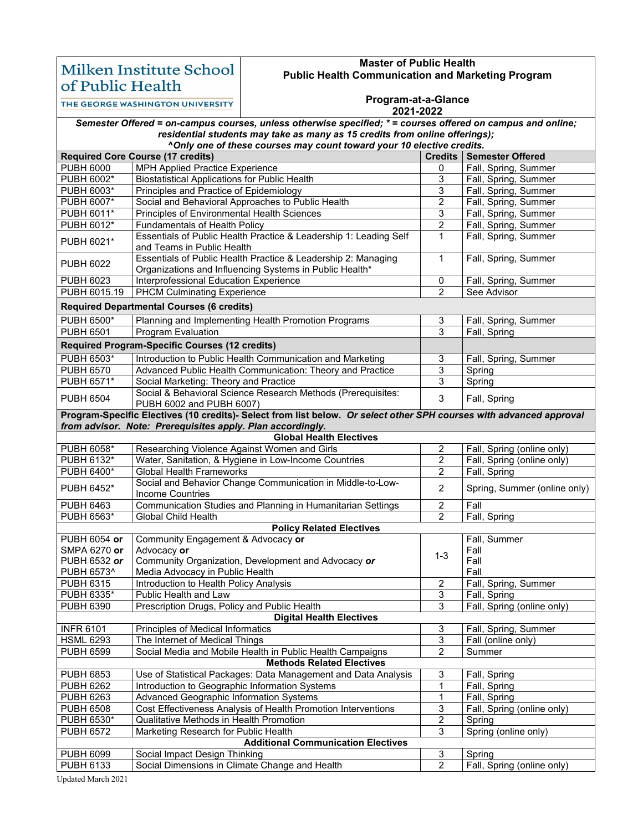# Milken Institute School of Public Health

#### **Master of Public Health Public Health Communication and Marketing Program**

THE GEORGE WASHINGTON UNIVERSITY

#### **Program-at-a-Glance**

#### **2021-2022**

|                                                                             | Semester Offered = on-campus courses, unless otherwise specified; * = courses offered on campus and online;              |                         |                              |  |  |  |
|-----------------------------------------------------------------------------|--------------------------------------------------------------------------------------------------------------------------|-------------------------|------------------------------|--|--|--|
| residential students may take as many as 15 credits from online offerings); |                                                                                                                          |                         |                              |  |  |  |
|                                                                             | ^Only one of these courses may count toward your 10 elective credits.                                                    |                         |                              |  |  |  |
|                                                                             | <b>Required Core Course (17 credits)</b>                                                                                 |                         | Credits   Semester Offered   |  |  |  |
| <b>PUBH 6000</b>                                                            | <b>MPH Applied Practice Experience</b>                                                                                   | 0                       | Fall, Spring, Summer         |  |  |  |
| PUBH 6002*                                                                  | <b>Biostatistical Applications for Public Health</b>                                                                     | 3                       | Fall, Spring, Summer         |  |  |  |
| PUBH 6003*                                                                  | Principles and Practice of Epidemiology                                                                                  | 3                       | Fall, Spring, Summer         |  |  |  |
| PUBH 6007*                                                                  | Social and Behavioral Approaches to Public Health                                                                        | 2                       | Fall, Spring, Summer         |  |  |  |
| PUBH 6011*                                                                  | Principles of Environmental Health Sciences                                                                              | 3                       | Fall, Spring, Summer         |  |  |  |
| PUBH 6012*                                                                  | <b>Fundamentals of Health Policy</b>                                                                                     | $\overline{2}$          | Fall, Spring, Summer         |  |  |  |
| PUBH 6021*                                                                  | Essentials of Public Health Practice & Leadership 1: Leading Self<br>and Teams in Public Health                          | $\mathbf{1}$            | Fall, Spring, Summer         |  |  |  |
| <b>PUBH 6022</b>                                                            | Essentials of Public Health Practice & Leadership 2: Managing<br>Organizations and Influencing Systems in Public Health* | 1                       | Fall, Spring, Summer         |  |  |  |
| <b>PUBH 6023</b>                                                            | Interprofessional Education Experience                                                                                   | 0                       | Fall, Spring, Summer         |  |  |  |
| PUBH 6015.19                                                                | <b>PHCM Culminating Experience</b>                                                                                       | $\overline{2}$          | See Advisor                  |  |  |  |
| <b>Required Departmental Courses (6 credits)</b>                            |                                                                                                                          |                         |                              |  |  |  |
| <b>PUBH 6500*</b>                                                           | Planning and Implementing Health Promotion Programs                                                                      | 3                       | Fall, Spring, Summer         |  |  |  |
| <b>PUBH 6501</b>                                                            | Program Evaluation                                                                                                       | $\overline{3}$          | Fall, Spring                 |  |  |  |
|                                                                             | <b>Required Program-Specific Courses (12 credits)</b>                                                                    |                         |                              |  |  |  |
| <b>PUBH 6503*</b>                                                           | Introduction to Public Health Communication and Marketing                                                                | 3                       | Fall, Spring, Summer         |  |  |  |
| <b>PUBH 6570</b>                                                            | Advanced Public Health Communication: Theory and Practice                                                                | 3                       | Spring                       |  |  |  |
| <b>PUBH 6571*</b>                                                           | Social Marketing: Theory and Practice                                                                                    | 3                       | Spring                       |  |  |  |
|                                                                             | Social & Behavioral Science Research Methods (Prerequisites:                                                             |                         |                              |  |  |  |
| <b>PUBH 6504</b>                                                            | PUBH 6002 and PUBH 6007)                                                                                                 | $\mathfrak{S}$          | Fall, Spring                 |  |  |  |
|                                                                             | Program-Specific Electives (10 credits)- Select from list below. Or select other SPH courses with advanced approval      |                         |                              |  |  |  |
|                                                                             | from advisor. Note: Prerequisites apply. Plan accordingly.                                                               |                         |                              |  |  |  |
|                                                                             | <b>Global Health Electives</b>                                                                                           |                         |                              |  |  |  |
| PUBH 6058*                                                                  | Researching Violence Against Women and Girls                                                                             | $\overline{c}$          | Fall, Spring (online only)   |  |  |  |
| PUBH 6132*                                                                  | Water, Sanitation, & Hygiene in Low-Income Countries                                                                     | 2                       | Fall, Spring (online only)   |  |  |  |
| PUBH 6400*                                                                  | <b>Global Health Frameworks</b>                                                                                          | $\boldsymbol{2}$        | Fall, Spring                 |  |  |  |
| PUBH 6452*                                                                  | Social and Behavior Change Communication in Middle-to-Low-<br><b>Income Countries</b>                                    | $\overline{2}$          | Spring, Summer (online only) |  |  |  |
| <b>PUBH 6463</b>                                                            | Communication Studies and Planning in Humanitarian Settings                                                              | $\overline{2}$          | Fall                         |  |  |  |
| PUBH 6563*                                                                  | Global Child Health                                                                                                      | 2                       | Fall, Spring                 |  |  |  |
|                                                                             | <b>Policy Related Electives</b>                                                                                          |                         |                              |  |  |  |
| PUBH 6054 or                                                                | Community Engagement & Advocacy or                                                                                       |                         | Fall, Summer                 |  |  |  |
| SMPA 6270 or                                                                | Advocacy or                                                                                                              | $1 - 3$                 | Fall                         |  |  |  |
| PUBH 6532 or                                                                | Community Organization, Development and Advocacy or                                                                      |                         | Fall                         |  |  |  |
| PUBH 6573^                                                                  | Media Advocacy in Public Health                                                                                          |                         | Fall                         |  |  |  |
| <b>PUBH 6315</b>                                                            | Introduction to Health Policy Analysis                                                                                   | $\overline{2}$          | Fall, Spring, Summer         |  |  |  |
| PUBH 6335*                                                                  | Public Health and Law                                                                                                    | 3                       | Fall, Spring                 |  |  |  |
| PUBH 6390                                                                   | Prescription Drugs, Policy and Public Health                                                                             | 3                       | Fall, Spring (online only)   |  |  |  |
|                                                                             | <b>Digital Health Electives</b>                                                                                          |                         |                              |  |  |  |
| <b>INFR 6101</b>                                                            | Principles of Medical Informatics                                                                                        | 3                       | Fall, Spring, Summer         |  |  |  |
| <b>HSML 6293</b>                                                            | The Internet of Medical Things                                                                                           | 3                       | Fall (online only)           |  |  |  |
| <b>PUBH 6599</b>                                                            | Social Media and Mobile Health in Public Health Campaigns                                                                | $\overline{2}$          | Summer                       |  |  |  |
|                                                                             | <b>Methods Related Electives</b>                                                                                         |                         |                              |  |  |  |
| <b>PUBH 6853</b>                                                            | Use of Statistical Packages: Data Management and Data Analysis                                                           | 3                       | Fall, Spring                 |  |  |  |
| <b>PUBH 6262</b>                                                            | Introduction to Geographic Information Systems                                                                           | 1                       | Fall, Spring                 |  |  |  |
| <b>PUBH 6263</b>                                                            | Advanced Geographic Information Systems                                                                                  | 1                       | Fall, Spring                 |  |  |  |
| <b>PUBH 6508</b>                                                            | Cost Effectiveness Analysis of Health Promotion Interventions                                                            | 3                       | Fall, Spring (online only)   |  |  |  |
| PUBH 6530*                                                                  | Qualitative Methods in Health Promotion                                                                                  | $\overline{\mathbf{c}}$ | Spring                       |  |  |  |
| <b>PUBH 6572</b>                                                            | Marketing Research for Public Health                                                                                     | 3                       | Spring (online only)         |  |  |  |
| <b>Additional Communication Electives</b>                                   |                                                                                                                          |                         |                              |  |  |  |
| <b>PUBH 6099</b>                                                            | Social Impact Design Thinking                                                                                            | 3                       | Spring                       |  |  |  |
| PUBH 6133                                                                   | Social Dimensions in Climate Change and Health                                                                           | $\overline{2}$          | Fall, Spring (online only)   |  |  |  |

Updated March 2021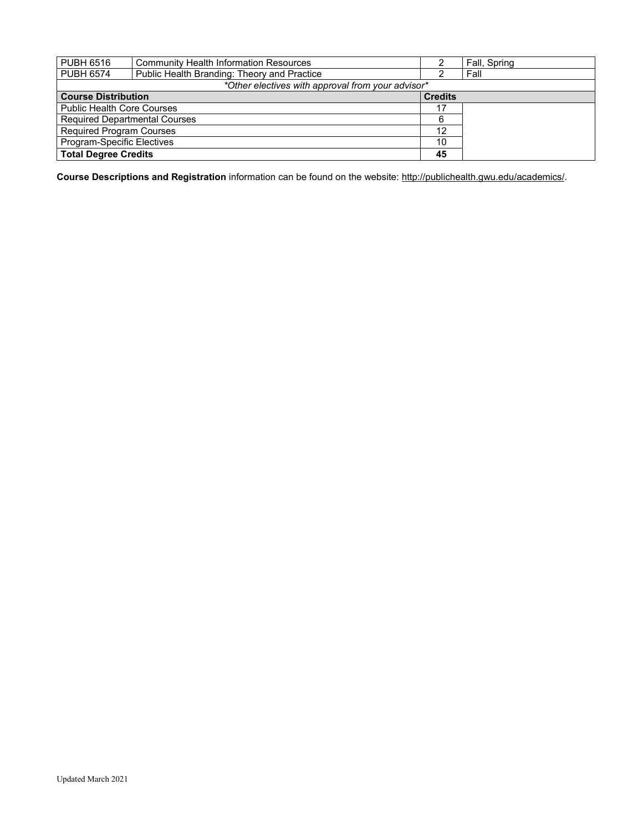| <b>PUBH 6516</b>                                  | <b>Community Health Information Resources</b> |                | Fall, Spring |  |  |
|---------------------------------------------------|-----------------------------------------------|----------------|--------------|--|--|
| <b>PUBH 6574</b>                                  | Public Health Branding: Theory and Practice   |                | Fall         |  |  |
| *Other electives with approval from your advisor* |                                               |                |              |  |  |
| <b>Course Distribution</b>                        |                                               | <b>Credits</b> |              |  |  |
| <b>Public Health Core Courses</b>                 |                                               | 17             |              |  |  |
| <b>Required Departmental Courses</b>              |                                               | 6              |              |  |  |
| <b>Required Program Courses</b>                   |                                               | 12             |              |  |  |
| Program-Specific Electives                        |                                               | 10             |              |  |  |
| <b>Total Degree Credits</b>                       |                                               | 45             |              |  |  |

**Course Descriptions and Registration** information can be found on the website[: http://publichealth.gwu.edu/academics/.](http://publichealth.gwu.edu/academics/)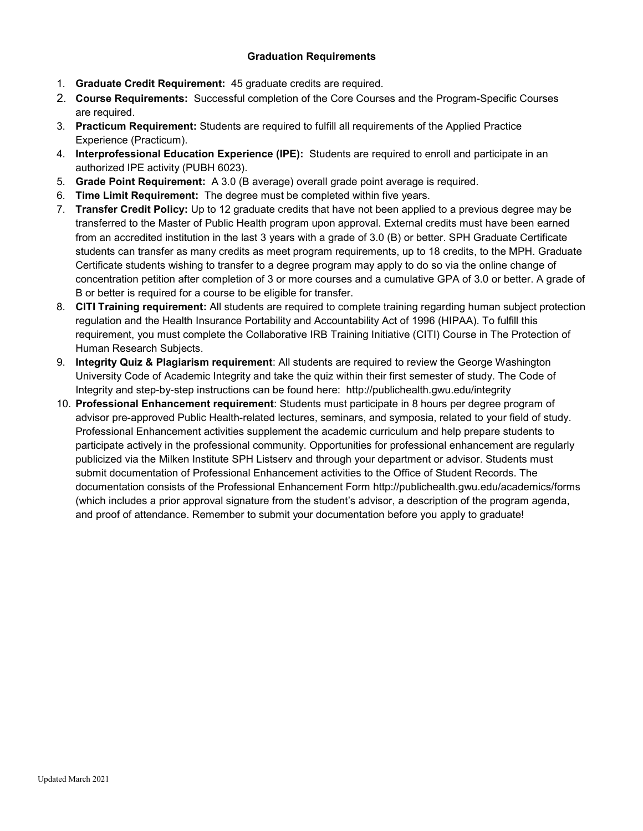#### **Graduation Requirements**

- 1. **Graduate Credit Requirement:** 45 graduate credits are required.
- 2. **Course Requirements:** Successful completion of the Core Courses and the Program-Specific Courses are required.
- 3. **Practicum Requirement:** Students are required to fulfill all requirements of the Applied Practice Experience (Practicum).
- 4. **Interprofessional Education Experience (IPE):** Students are required to enroll and participate in an authorized IPE activity (PUBH 6023).
- 5. **Grade Point Requirement:** A 3.0 (B average) overall grade point average is required.
- 6. **Time Limit Requirement:** The degree must be completed within five years.
- 7. **Transfer Credit Policy:** Up to 12 graduate credits that have not been applied to a previous degree may be transferred to the Master of Public Health program upon approval. External credits must have been earned from an accredited institution in the last 3 years with a grade of 3.0 (B) or better. SPH Graduate Certificate students can transfer as many credits as meet program requirements, up to 18 credits, to the MPH. Graduate Certificate students wishing to transfer to a degree program may apply to do so via the online change of concentration petition after completion of 3 or more courses and a cumulative GPA of 3.0 or better. A grade of B or better is required for a course to be eligible for transfer.
- 8. **CITI Training requirement:** All students are required to complete training regarding human subject protection regulation and the Health Insurance Portability and Accountability Act of 1996 (HIPAA). To fulfill this requirement, you must complete the Collaborative IRB Training Initiative (CITI) Course in The Protection of Human Research Subjects.
- 9. **Integrity Quiz & Plagiarism requirement**: All students are required to review the George Washington University Code of Academic Integrity and take the quiz within their first semester of study. The Code of Integrity and step-by-step instructions can be found here: http://publichealth.gwu.edu/integrity
- 10. **Professional Enhancement requirement**: Students must participate in 8 hours per degree program of advisor pre-approved Public Health-related lectures, seminars, and symposia, related to your field of study. Professional Enhancement activities supplement the academic curriculum and help prepare students to participate actively in the professional community. Opportunities for professional enhancement are regularly publicized via the Milken Institute SPH Listserv and through your department or advisor. Students must submit documentation of Professional Enhancement activities to the Office of Student Records. The documentation consists of the Professional Enhancement Form http://publichealth.gwu.edu/academics/forms (which includes a prior approval signature from the student's advisor, a description of the program agenda, and proof of attendance. Remember to submit your documentation before you apply to graduate!